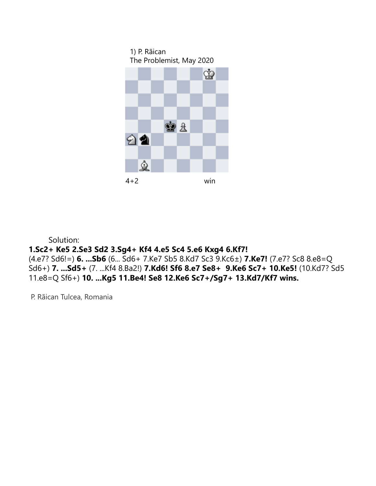



 Solution: **1.Sc2+ Ke5 2.Se3 Sd2 3.Sg4+ Kf4 4.e5 Sc4 5.e6 Kxg4 6.Kf7!**  (4.e7? Sd6!=) **6. ...Sb6** (6... Sd6+ 7.Ke7 Sb5 8.Kd7 Sc3 9.Kc6±) **7.Ke7!** (7.e7? Sc8 8.e8=Q Sd6+) **7. ...Sd5+** (7. ...Kf4 8.Ba2!) **7.Kd6! Sf6 8.e7 Se8+ 9.Ke6 Sc7+ 10.Ke5!** (10.Kd7? Sd5 11.e8=Q Sf6+) **10. ...Kg5 11.Be4! Se8 12.Ke6 Sc7+/Sg7+ 13.Kd7/Kf7 wins.**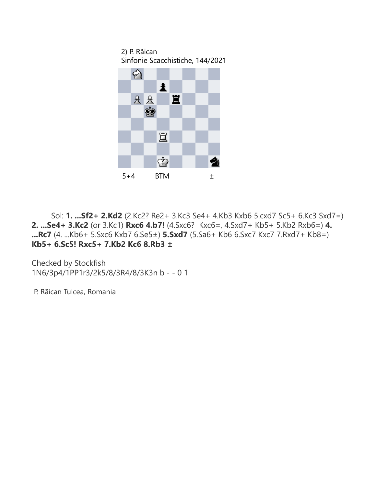2) P. Rãican Sinfonie Scacchistiche, 144/2021



 Sol: **1. ...Sf2+ 2.Kd2** (2.Kc2? Re2+ 3.Kc3 Se4+ 4.Kb3 Kxb6 5.cxd7 Sc5+ 6.Kc3 Sxd7=) **2. ...Se4+ 3.Kc2** (or 3.Kc1) **Rxc6 4.b7!** (4.Sxc6? Kxc6=, 4.Sxd7+ Kb5+ 5.Kb2 Rxb6=) **4. ...Rc7** (4. ...Kb6+ 5.Sxc6 Kxb7 6.Se5±) **5.Sxd7** (5.Sa6+ Kb6 6.Sxc7 Kxc7 7.Rxd7+ Kb8=) **Kb5+ 6.Sc5! Rxc5+ 7.Kb2 Kc6 8.Rb3 ±**

Checked by Stockfish 1N6/3p4/1PP1r3/2k5/8/3R4/8/3K3n b - - 0 1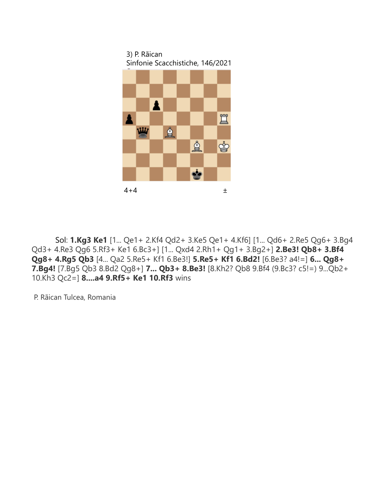3) P. Rãican Sinfonie Scacchistiche, 146/2021



 Sol: **1.Kg3 Ke1** [1... Qe1+ 2.Kf4 Qd2+ 3.Ke5 Qe1+ 4.Kf6] [1... Qd6+ 2.Re5 Qg6+ 3.Bg4 Qd3+ 4.Re3 Qg6 5.Rf3+ Ke1 6.Bc3+] [1... Qxd4 2.Rh1+ Qg1+ 3.Bg2+] **2.Be3! Qb8+ 3.Bf4 Qg8+ 4.Rg5 Qb3** [4... Qa2 5.Re5+ Kf1 6.Be3!] **5.Re5+ Kf1 6.Bd2!** [6.Be3? a4!=] **6... Qg8+ 7.Bg4!** [7.Bg5 Qb3 8.Bd2 Qg8+] **7... Qb3+ 8.Be3!** [8.Kh2? Qb8 9.Bf4 (9.Bc3? c5!=) 9...Qb2+ 10.Kh3 Qc2=] **8....a4 9.Rf5+ Ke1 10.Rf3** wins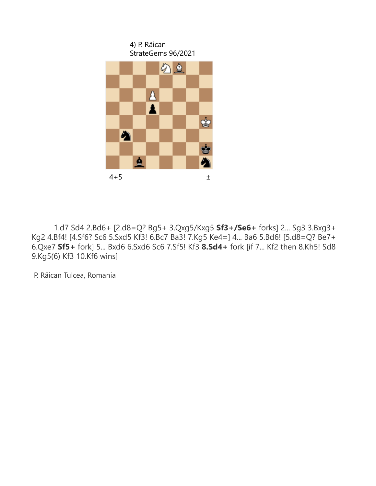

 1.d7 Sd4 2.Bd6+ [2.d8=Q? Bg5+ 3.Qxg5/Kxg5 **Sf3+/Se6+** forks] 2... Sg3 3.Bxg3+ Kg2 4.Bf4! [4.Sf6? Sc6 5.Sxd5 Kf3! 6.Bc7 Ba3! 7.Kg5 Ke4=] 4... Ba6 5.Bd6! [5.d8=Q? Be7+ 6.Qxe7 **Sf5+** fork] 5... Bxd6 6.Sxd6 Sc6 7.Sf5! Kf3 **8.Sd4+** fork [if 7... Kf2 then 8.Kh5! Sd8 9.Kg5(6) Kf3 10.Kf6 wins]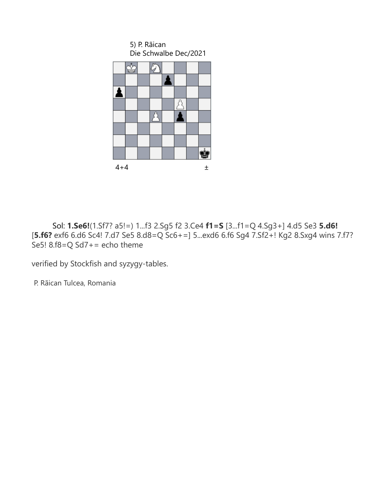

 Sol: **1.Se6!**(1.Sf7? a5!=) 1...f3 2.Sg5 f2 3.Ce4 **f1=S** [3...f1=Q 4.Sg3+] 4.d5 Se3 **5.d6!** [**5.f6?** exf6 6.d6 Sc4! 7.d7 Se5 8.d8=Q Sc6+=] 5...exd6 6.f6 Sg4 7.Sf2+! Kg2 8.Sxg4 wins 7.f7? Se5! 8.f8=Q Sd7+= echo theme

verified by Stockfish and syzygy-tables.